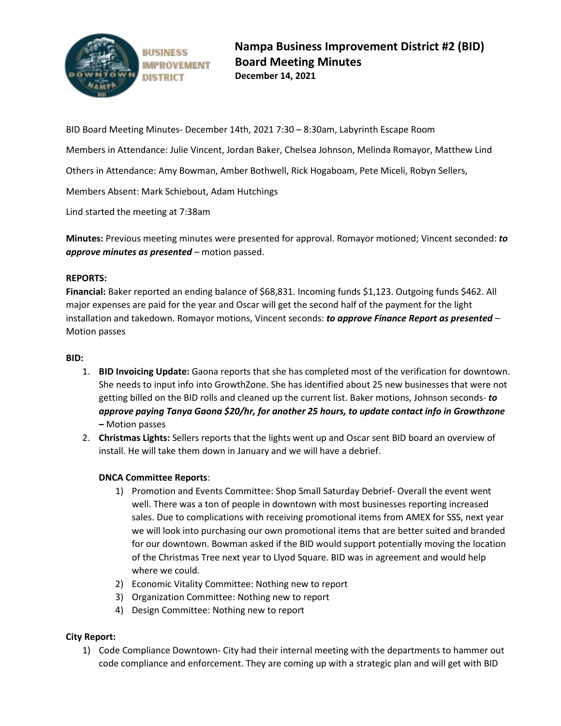

BID Board Meeting Minutes- December 14th, 2021 7:30 – 8:30am, Labyrinth Escape Room

Members in Attendance: Julie Vincent, Jordan Baker, Chelsea Johnson, Melinda Romayor, Matthew Lind

Others in Attendance: Amy Bowman, Amber Bothwell, Rick Hogaboam, Pete Miceli, Robyn Sellers,

Members Absent: Mark Schiebout, Adam Hutchings

Lind started the meeting at 7:38am

**Minutes:** Previous meeting minutes were presented for approval. Romayor motioned; Vincent seconded: *to approve minutes as presented* – motion passed.

#### **REPORTS:**

**Financial:** Baker reported an ending balance of \$68,831. Incoming funds \$1,123. Outgoing funds \$462. All major expenses are paid for the year and Oscar will get the second half of the payment for the light installation and takedown. Romayor motions, Vincent seconds: *to approve Finance Report as presented* – Motion passes

## **BID:**

- 1. **BID Invoicing Update:** Gaona reports that she has completed most of the verification for downtown. She needs to input info into GrowthZone. She has identified about 25 new businesses that were not getting billed on the BID rolls and cleaned up the current list. Baker motions, Johnson seconds- *to approve paying Tanya Gaona \$20/hr, for another 25 hours, to update contact info in Growthzone –* Motion passes
- 2. **Christmas Lights:** Sellers reports that the lights went up and Oscar sent BID board an overview of install. He will take them down in January and we will have a debrief.

# **DNCA Committee Reports**:

- 1) Promotion and Events Committee: Shop Small Saturday Debrief- Overall the event went well. There was a ton of people in downtown with most businesses reporting increased sales. Due to complications with receiving promotional items from AMEX for SSS, next year we will look into purchasing our own promotional items that are better suited and branded for our downtown. Bowman asked if the BID would support potentially moving the location of the Christmas Tree next year to Llyod Square. BID was in agreement and would help where we could.
- 2) Economic Vitality Committee: Nothing new to report
- 3) Organization Committee: Nothing new to report
- 4) Design Committee: Nothing new to report

#### **City Report:**

1) Code Compliance Downtown- City had their internal meeting with the departments to hammer out code compliance and enforcement. They are coming up with a strategic plan and will get with BID